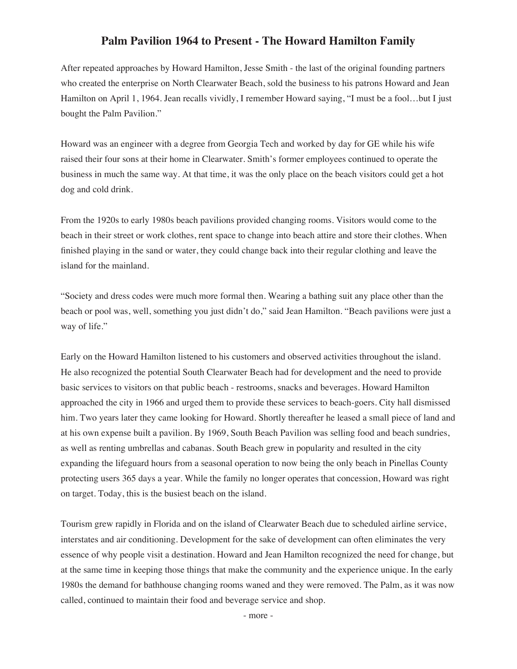## **Palm Pavilion 1964 to Present - The Howard Hamilton Family**

After repeated approaches by Howard Hamilton, Jesse Smith - the last of the original founding partners who created the enterprise on North Clearwater Beach, sold the business to his patrons Howard and Jean Hamilton on April 1, 1964. Jean recalls vividly, I remember Howard saying, "I must be a fool…but I just bought the Palm Pavilion."

Howard was an engineer with a degree from Georgia Tech and worked by day for GE while his wife raised their four sons at their home in Clearwater. Smith's former employees continued to operate the business in much the same way. At that time, it was the only place on the beach visitors could get a hot dog and cold drink.

From the 1920s to early 1980s beach pavilions provided changing rooms. Visitors would come to the beach in their street or work clothes, rent space to change into beach attire and store their clothes. When finished playing in the sand or water, they could change back into their regular clothing and leave the island for the mainland.

"Society and dress codes were much more formal then. Wearing a bathing suit any place other than the beach or pool was, well, something you just didn't do," said Jean Hamilton. "Beach pavilions were just a way of life."

Early on the Howard Hamilton listened to his customers and observed activities throughout the island. He also recognized the potential South Clearwater Beach had for development and the need to provide basic services to visitors on that public beach - restrooms, snacks and beverages. Howard Hamilton approached the city in 1966 and urged them to provide these services to beach-goers. City hall dismissed him. Two years later they came looking for Howard. Shortly thereafter he leased a small piece of land and at his own expense built a pavilion. By 1969, South Beach Pavilion was selling food and beach sundries, as well as renting umbrellas and cabanas. South Beach grew in popularity and resulted in the city expanding the lifeguard hours from a seasonal operation to now being the only beach in Pinellas County protecting users 365 days a year. While the family no longer operates that concession, Howard was right on target. Today, this is the busiest beach on the island.

Tourism grew rapidly in Florida and on the island of Clearwater Beach due to scheduled airline service, interstates and air conditioning. Development for the sake of development can often eliminates the very essence of why people visit a destination. Howard and Jean Hamilton recognized the need for change, but at the same time in keeping those things that make the community and the experience unique. In the early 1980s the demand for bathhouse changing rooms waned and they were removed. The Palm, as it was now called, continued to maintain their food and beverage service and shop.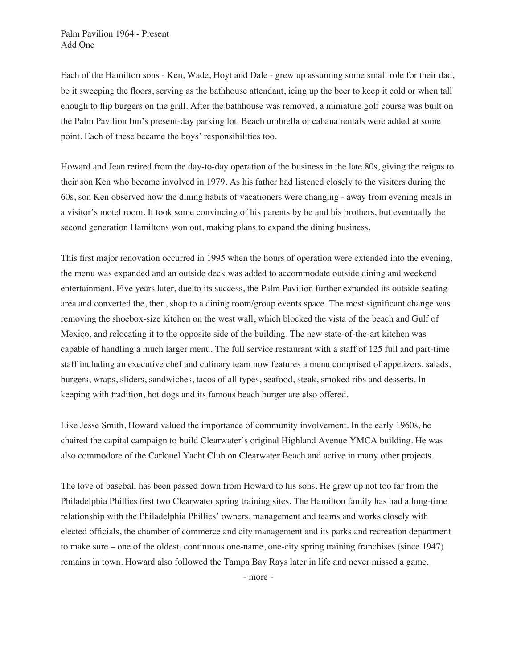Each of the Hamilton sons - Ken, Wade, Hoyt and Dale - grew up assuming some small role for their dad, be it sweeping the floors, serving as the bathhouse attendant, icing up the beer to keep it cold or when tall enough to flip burgers on the grill. After the bathhouse was removed, a miniature golf course was built on the Palm Pavilion Inn's present-day parking lot. Beach umbrella or cabana rentals were added at some point. Each of these became the boys' responsibilities too.

Howard and Jean retired from the day-to-day operation of the business in the late 80s, giving the reigns to their son Ken who became involved in 1979. As his father had listened closely to the visitors during the 60s, son Ken observed how the dining habits of vacationers were changing - away from evening meals in a visitor's motel room. It took some convincing of his parents by he and his brothers, but eventually the second generation Hamiltons won out, making plans to expand the dining business.

This first major renovation occurred in 1995 when the hours of operation were extended into the evening, the menu was expanded and an outside deck was added to accommodate outside dining and weekend entertainment. Five years later, due to its success, the Palm Pavilion further expanded its outside seating area and converted the, then, shop to a dining room/group events space. The most significant change was removing the shoebox-size kitchen on the west wall, which blocked the vista of the beach and Gulf of Mexico, and relocating it to the opposite side of the building. The new state-of-the-art kitchen was capable of handling a much larger menu. The full service restaurant with a staff of 125 full and part-time staff including an executive chef and culinary team now features a menu comprised of appetizers, salads, burgers, wraps, sliders, sandwiches, tacos of all types, seafood, steak, smoked ribs and desserts. In keeping with tradition, hot dogs and its famous beach burger are also offered.

Like Jesse Smith, Howard valued the importance of community involvement. In the early 1960s, he chaired the capital campaign to build Clearwater's original Highland Avenue YMCA building. He was also commodore of the Carlouel Yacht Club on Clearwater Beach and active in many other projects.

The love of baseball has been passed down from Howard to his sons. He grew up not too far from the Philadelphia Phillies first two Clearwater spring training sites. The Hamilton family has had a long-time relationship with the Philadelphia Phillies' owners, management and teams and works closely with elected officials, the chamber of commerce and city management and its parks and recreation department to make sure – one of the oldest, continuous one-name, one-city spring training franchises (since 1947) remains in town. Howard also followed the Tampa Bay Rays later in life and never missed a game.

- more -